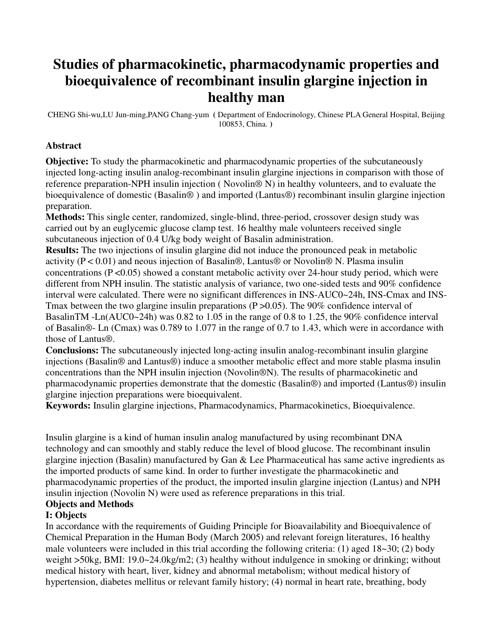# **Studies of pharmacokinetic, pharmacodynamic properties and bioequivalence of recombinant insulin glargine injection in healthy man**

CHENG Shi-wu,LU Jun-ming,PANG Chang-yum **(** Department of Endocrinology, Chinese PLA General Hospital, Beijing 100853, China. **)** 

## **Abstract**

**Objective:** To study the pharmacokinetic and pharmacodynamic properties of the subcutaneously injected long-acting insulin analog-recombinant insulin glargine injections in comparison with those of reference preparation-NPH insulin injection ( Novolin® N) in healthy volunteers, and to evaluate the bioequivalence of domestic (Basalin® ) and imported (Lantus®) recombinant insulin glargine injection preparation.

**Methods:** This single center, randomized, single-blind, three-period, crossover design study was carried out by an euglycemic glucose clamp test. 16 healthy male volunteers received single subcutaneous injection of 0.4 U/kg body weight of Basalin administration.

**Results:** The two injections of insulin glargine did not induce the pronounced peak in metabolic activity ( $P < 0.01$ ) and neous injection of Basalin®, Lantus® or Novolin® N. Plasma insulin concentrations ( $P \le 0.05$ ) showed a constant metabolic activity over 24-hour study period, which were different from NPH insulin. The statistic analysis of variance, two one-sided tests and 90% confidence interval were calculated. There were no significant differences in INS-AUC0~24h, INS-Cmax and INS-Tmax between the two glargine insulin preparations ( $P > 0.05$ ). The 90% confidence interval of BasalinTM -Ln(AUC0~24h) was 0.82 to 1.05 in the range of 0.8 to 1.25, the 90% confidence interval of Basalin®- Ln (Cmax) was 0.789 to 1.077 in the range of 0.7 to 1.43, which were in accordance with those of Lantus®.

**Conclusions:** The subcutaneously injected long-acting insulin analog-recombinant insulin glargine injections (Basalin® and Lantus®) induce a smoother metabolic effect and more stable plasma insulin concentrations than the NPH insulin injection (Novolin®N). The results of pharmacokinetic and pharmacodynamic properties demonstrate that the domestic (Basalin®) and imported (Lantus®) insulin glargine injection preparations were bioequivalent.

**Keywords:** Insulin glargine injections, Pharmacodynamics, Pharmacokinetics, Bioequivalence.

Insulin glargine is a kind of human insulin analog manufactured by using recombinant DNA technology and can smoothly and stably reduce the level of blood glucose. The recombinant insulin glargine injection (Basalin) manufactured by Gan & Lee Pharmaceutical has same active ingredients as the imported products of same kind. In order to further investigate the pharmacokinetic and pharmacodynamic properties of the product, the imported insulin glargine injection (Lantus) and NPH insulin injection (Novolin N) were used as reference preparations in this trial.

# **Objects and Methods**

# **I: Objects**

In accordance with the requirements of Guiding Principle for Bioavailability and Bioequivalence of Chemical Preparation in the Human Body (March 2005) and relevant foreign literatures, 16 healthy male volunteers were included in this trial according the following criteria: (1) aged 18~30; (2) body weight  $>50$ kg, BMI: 19.0~24.0kg/m2; (3) healthy without indulgence in smoking or drinking; without medical history with heart, liver, kidney and abnormal metabolism; without medical history of hypertension, diabetes mellitus or relevant family history; (4) normal in heart rate, breathing, body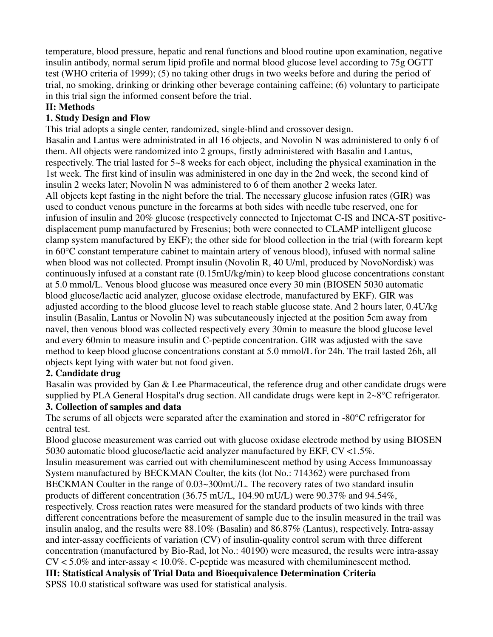temperature, blood pressure, hepatic and renal functions and blood routine upon examination, negative insulin antibody, normal serum lipid profile and normal blood glucose level according to 75g OGTT test (WHO criteria of 1999); (5) no taking other drugs in two weeks before and during the period of trial, no smoking, drinking or drinking other beverage containing caffeine; (6) voluntary to participate in this trial sign the informed consent before the trial.

# **II: Methods**

# **1. Study Design and Flow**

This trial adopts a single center, randomized, single-blind and crossover design.

Basalin and Lantus were administrated in all 16 objects, and Novolin N was administered to only 6 of them. All objects were randomized into 2 groups, firstly administered with Basalin and Lantus, respectively. The trial lasted for 5~8 weeks for each object, including the physical examination in the 1st week. The first kind of insulin was administered in one day in the 2nd week, the second kind of insulin 2 weeks later; Novolin N was administered to 6 of them another 2 weeks later. All objects kept fasting in the night before the trial. The necessary glucose infusion rates (GIR) was used to conduct venous puncture in the forearms at both sides with needle tube reserved, one for infusion of insulin and 20% glucose (respectively connected to Injectomat C-IS and INCA-ST positivedisplacement pump manufactured by Fresenius; both were connected to CLAMP intelligent glucose clamp system manufactured by EKF); the other side for blood collection in the trial (with forearm kept in 60°C constant temperature cabinet to maintain artery of venous blood), infused with normal saline when blood was not collected. Prompt insulin (Novolin R, 40 U/ml, produced by NovoNordisk) was continuously infused at a constant rate (0.15mU/kg/min) to keep blood glucose concentrations constant at 5.0 mmol/L. Venous blood glucose was measured once every 30 min (BIOSEN 5030 automatic blood glucose/lactic acid analyzer, glucose oxidase electrode, manufactured by EKF). GIR was adjusted according to the blood glucose level to reach stable glucose state. And 2 hours later, 0.4U/kg insulin (Basalin, Lantus or Novolin N) was subcutaneously injected at the position 5cm away from navel, then venous blood was collected respectively every 30min to measure the blood glucose level and every 60min to measure insulin and C-peptide concentration. GIR was adjusted with the save method to keep blood glucose concentrations constant at 5.0 mmol/L for 24h. The trail lasted 26h, all objects kept lying with water but not food given.

# **2. Candidate drug**

Basalin was provided by Gan & Lee Pharmaceutical, the reference drug and other candidate drugs were supplied by PLA General Hospital's drug section. All candidate drugs were kept in 2~8°C refrigerator. **3. Collection of samples and data**

The serums of all objects were separated after the examination and stored in -80°C refrigerator for central test.

Blood glucose measurement was carried out with glucose oxidase electrode method by using BIOSEN 5030 automatic blood glucose/lactic acid analyzer manufactured by EKF, CV <1.5%.

Insulin measurement was carried out with chemiluminescent method by using Access Immunoassay System manufactured by BECKMAN Coulter, the kits (lot No.: 714362) were purchased from BECKMAN Coulter in the range of 0.03~300mU/L. The recovery rates of two standard insulin products of different concentration (36.75 mU/L, 104.90 mU/L) were 90.37% and 94.54%, respectively. Cross reaction rates were measured for the standard products of two kinds with three different concentrations before the measurement of sample due to the insulin measured in the trail was insulin analog, and the results were 88.10% (Basalin) and 86.87% (Lantus), respectively. Intra-assay and inter-assay coefficients of variation (CV) of insulin-quality control serum with three different concentration (manufactured by Bio-Rad, lot No.: 40190) were measured, the results were intra-assay  $CV < 5.0\%$  and inter-assay  $< 10.0\%$ . C-peptide was measured with chemiluminescent method. **III: Statistical Analysis of Trial Data and Bioequivalence Determination Criteria**

SPSS 10.0 statistical software was used for statistical analysis.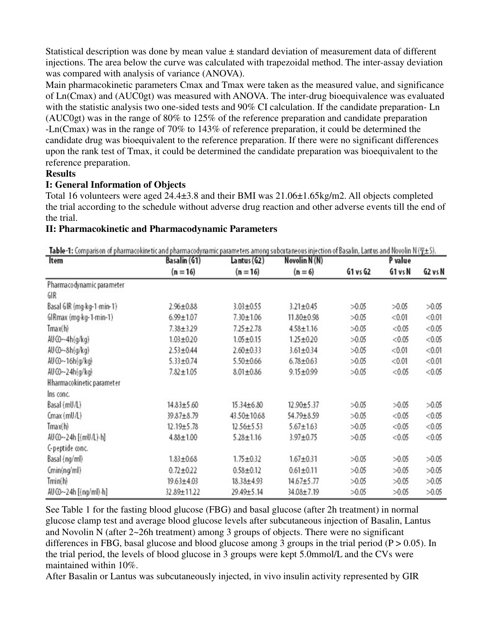Statistical description was done by mean value  $\pm$  standard deviation of measurement data of different injections. The area below the curve was calculated with trapezoidal method. The inter-assay deviation was compared with analysis of variance (ANOVA).

Main pharmacokinetic parameters Cmax and Tmax were taken as the measured value, and significance of Ln(Cmax) and (AUC0gt) was measured with ANOVA. The inter-drug bioequivalence was evaluated with the statistic analysis two one-sided tests and 90% CI calculation. If the candidate preparation- Ln (AUC0gt) was in the range of 80% to 125% of the reference preparation and candidate preparation -Ln(Cmax) was in the range of 70% to 143% of reference preparation, it could be determined the candidate drug was bioequivalent to the reference preparation. If there were no significant differences upon the rank test of Tmax, it could be determined the candidate preparation was bioequivalent to the reference preparation.

#### **Results**

## **I: General Information of Objects**

Total 16 volunteers were aged 24.4±3.8 and their BMI was 21.06±1.65kg/m2. All objects completed the trial according to the schedule without adverse drug reaction and other adverse events till the end of the trial.

## **II: Pharmacokinetic and Pharmacodynamic Parameters**

Table-1: Comparison of pharmacokinetic and pharmacodynamic parameters among subcutaneous injection of Basalin, Lantus and Novolin N ( $\nabla + \Omega$ ).

| Item                           | Basalin (G1)<br>$(n = 16)$ | Lantus (G2)<br>$(n = 16)$ | Novolin N(N)<br>$(n=6)$ | <b>RING IS ANTIFATION AT EUGHTMANDER OF AUSTRALIANALLY EMILIER EMANUS CONTRACTED SURPLEMENTATION COMMUNICATION INTERNATIONALLY (TWO):</b><br>P value |         |         |
|--------------------------------|----------------------------|---------------------------|-------------------------|------------------------------------------------------------------------------------------------------------------------------------------------------|---------|---------|
|                                |                            |                           |                         | G1 vs G2                                                                                                                                             | G1 vs N | G2 vs N |
| Pharmacodynamic parameter      |                            |                           |                         |                                                                                                                                                      |         |         |
| GIR                            |                            |                           |                         |                                                                                                                                                      |         |         |
| Basal GIR (mg·kg-1-min-1)      | $2.96 \pm 0.88$            | $3.03 + 0.55$             | $3.21 \pm 0.45$         | >0.05                                                                                                                                                | >0.05   | >0.05   |
| GIRmax (mg-kg-1-min-1)         | $6.99 \pm 1.07$            | $7.30 \pm 1.06$           | 11.80±0.98              | >0.05                                                                                                                                                | < 0.01  | < 0.01  |
| Tmax(h)                        | $7.38 \pm 3.29$            | $7.25 \pm 2.78$           | $4.58 \pm 1.16$         | >0.05                                                                                                                                                | < 0.05  | < 0.05  |
| $AU$ $O$ $\neg$ $-4h$ $(q/kq)$ | $1.03 + 0.20$              | $1.05 \pm 0.15$           | $1.25 \pm 0.20$         | >0.05                                                                                                                                                | < 0.05  | < 0.05  |
| $AU$ $O$ ~ $8h(q/kq)$          | $2.53 \pm 0.44$            | $2.60 \pm 0.33$           | $3.61 \pm 0.34$         | >0.05                                                                                                                                                | < 0.01  | < 0.01  |
| AUCO~16h(g/kg)                 | $5.33 \pm 0.74$            | $5.50 + 0.66$             | $6.78 \pm 0.63$         | >0.05                                                                                                                                                | < 0.01  | < 0.01  |
| AU CO~24h(g/kg)                | $7.82 \pm 1.05$            | $8.01 \pm 0.86$           | $9.15 \pm 0.99$         | >0.05                                                                                                                                                | < 0.05  | < 0.05  |
| Hharmacokinetic parameter      |                            |                           |                         |                                                                                                                                                      |         |         |
| Ins conc.                      |                            |                           |                         |                                                                                                                                                      |         |         |
| Basal (mU/L)                   | $14.83 \pm 5.60$           | 15.34±6.80                | 12.90±5.37              | >0.05                                                                                                                                                | >0.05   | >0.05   |
| $Cmax$ (mU/L)                  | 39.87±8.79                 | 43.50±10.68               | 54.79±8.59              | >0.05                                                                                                                                                | < 0.05  | < 0.05  |
| Tmax(h)                        | 12.19±5.78                 | 12.56±5.53                | $5.67 \pm 1.63$         | >0.05                                                                                                                                                | < 0.05  | < 0.05  |
| AU CO~24h [(mU/L)-h]           | $4.88 \pm 1.00$            | $5.28 \pm 1.16$           | $3.97 + 0.75$           | >0.05                                                                                                                                                | < 0.05  | < 0.05  |
| C-peptide conc.                |                            |                           |                         |                                                                                                                                                      |         |         |
| Basal (ng/ml)                  | $1.83 \pm 0.68$            | $1.75 \pm 0.32$           | $1.67 + 0.31$           | >0.05                                                                                                                                                | >0.05   | >0.05   |
| Cmin(nq/ml)                    | $0.72 \pm 0.22$            | $0.58 + 0.12$             | $0.61 \pm 0.11$         | >0.05                                                                                                                                                | >0.05   | >0.05   |
| Tmin(h)                        | $19.63 \pm 4.03$           | 18.38±4.93                | 14.67±5.77              | >0.05                                                                                                                                                | >0.05   | >0.05   |
| AU CO~24h [(ng/ml) -h]         | 32.89±11.22                | 29.49±5.14                | 34.08±7.19              | >0.05                                                                                                                                                | >0.05   | >0.05   |

See Table 1 for the fasting blood glucose (FBG) and basal glucose (after 2h treatment) in normal glucose clamp test and average blood glucose levels after subcutaneous injection of Basalin, Lantus and Novolin N (after 2~26h treatment) among 3 groups of objects. There were no significant differences in FBG, basal glucose and blood glucose among 3 groups in the trial period  $(P > 0.05)$ . In the trial period, the levels of blood glucose in 3 groups were kept 5.0mmol/L and the CVs were maintained within 10%.

After Basalin or Lantus was subcutaneously injected, in vivo insulin activity represented by GIR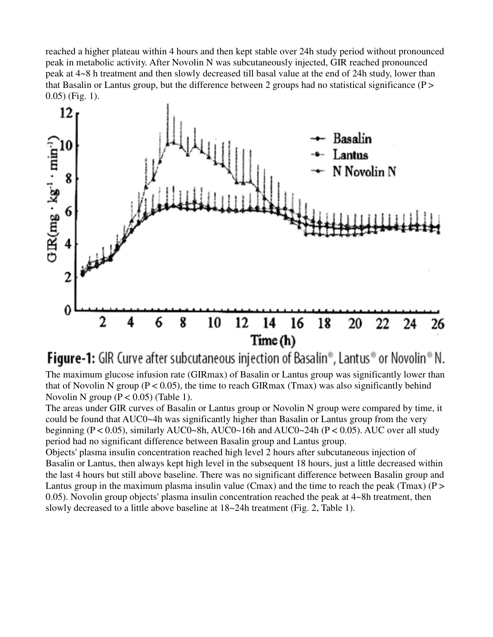reached a higher plateau within 4 hours and then kept stable over 24h study period without pronounced peak in metabolic activity. After Novolin N was subcutaneously injected, GIR reached pronounced peak at 4~8 h treatment and then slowly decreased till basal value at the end of 24h study, lower than that Basalin or Lantus group, but the difference between 2 groups had no statistical significance ( $P >$ 0.05) (Fig. 1).



**Figure-1:** GIR Curve after subcutaneous injection of Basalin<sup>®</sup>, Lantus<sup>®</sup> or Novolin<sup>®</sup> N. The maximum glucose infusion rate (GIRmax) of Basalin or Lantus group was significantly lower than that of Novolin N group ( $P < 0.05$ ), the time to reach GIRmax (Tmax) was also significantly behind Novolin N group  $(P < 0.05)$  (Table 1).

The areas under GIR curves of Basalin or Lantus group or Novolin N group were compared by time, it could be found that AUC0~4h was significantly higher than Basalin or Lantus group from the very beginning ( $P < 0.05$ ), similarly AUC0~8h, AUC0~16h and AUC0~24h ( $P < 0.05$ ). AUC over all study period had no significant difference between Basalin group and Lantus group.

Objects' plasma insulin concentration reached high level 2 hours after subcutaneous injection of Basalin or Lantus, then always kept high level in the subsequent 18 hours, just a little decreased within the last 4 hours but still above baseline. There was no significant difference between Basalin group and Lantus group in the maximum plasma insulin value (Cmax) and the time to reach the peak (Tmax) ( $P >$ 0.05). Novolin group objects' plasma insulin concentration reached the peak at 4~8h treatment, then slowly decreased to a little above baseline at 18~24h treatment (Fig. 2, Table 1).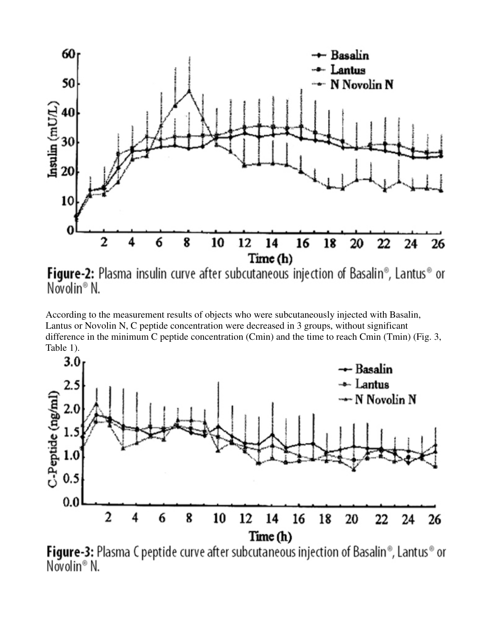

Novolin<sup>®</sup> N.

According to the measurement results of objects who were subcutaneously injected with Basalin, Lantus or Novolin N, C peptide concentration were decreased in 3 groups, without significant difference in the minimum C peptide concentration (Cmin) and the time to reach Cmin (Tmin) (Fig. 3, Table 1).



**Figure-3:** Plasma C peptide curve after subcutaneous injection of Basalin®, Lantus® or Novolin® N.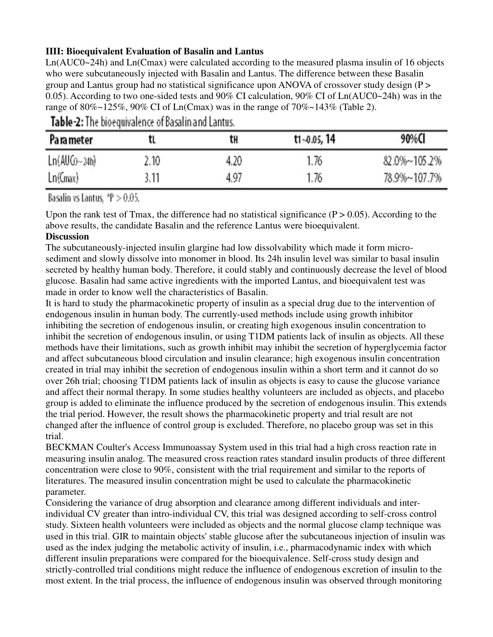# **IIII: Bioequivalent Evaluation of Basalin and Lantus**

Ln(AUC0~24h) and Ln(Cmax) were calculated according to the measured plasma insulin of 16 objects who were subcutaneously injected with Basalin and Lantus. The difference between these Basalin group and Lantus group had no statistical significance upon ANOVA of crossover study design  $(P >$ 0.05). According to two one-sided tests and 90% CI calculation, 90% CI of Ln(AUC0~24h) was in the range of 80%~125%, 90% CI of Ln(Cmax) was in the range of 70%~143% (Table 2).

| Pa ra meter  |      | tΗ   | $t1 - 0.05, 14$ | 90%CI        |
|--------------|------|------|-----------------|--------------|
| Ln(AUCo~24h) | 2.10 | 4.20 | 1.76            | 82.0%~105.2% |
| Ln(Gmax)     | 3.11 | 4.97 | 1.76            | 78.9%~107.7% |

Table-2: The bioequivalence of Basalin and Lantus.

Basalin vs Lantus.  $P > 0.05$ .

Upon the rank test of Tmax, the difference had no statistical significance  $(P > 0.05)$ . According to the above results, the candidate Basalin and the reference Lantus were bioequivalent.

## **Discussion**

The subcutaneously-injected insulin glargine had low dissolvability which made it form microsediment and slowly dissolve into monomer in blood. Its 24h insulin level was similar to basal insulin secreted by healthy human body. Therefore, it could stably and continuously decrease the level of blood glucose. Basalin had same active ingredients with the imported Lantus, and bioequivalent test was made in order to know well the characteristics of Basalin.

It is hard to study the pharmacokinetic property of insulin as a special drug due to the intervention of endogenous insulin in human body. The currently-used methods include using growth inhibitor inhibiting the secretion of endogenous insulin, or creating high exogenous insulin concentration to inhibit the secretion of endogenous insulin, or using T1DM patients lack of insulin as objects. All these methods have their limitations, such as growth inhibit may inhibit the secretion of hyperglycemia factor and affect subcutaneous blood circulation and insulin clearance; high exogenous insulin concentration created in trial may inhibit the secretion of endogenous insulin within a short term and it cannot do so over 26h trial; choosing T1DM patients lack of insulin as objects is easy to cause the glucose variance and affect their normal therapy. In some studies healthy volunteers are included as objects, and placebo group is added to eliminate the influence produced by the secretion of endogenous insulin. This extends the trial period. However, the result shows the pharmacokinetic property and trial result are not changed after the influence of control group is excluded. Therefore, no placebo group was set in this trial.

BECKMAN Coulter's Access Immunoassay System used in this trial had a high cross reaction rate in measuring insulin analog. The measured cross reaction rates standard insulin products of three different concentration were close to 90%, consistent with the trial requirement and similar to the reports of literatures. The measured insulin concentration might be used to calculate the pharmacokinetic parameter.

Considering the variance of drug absorption and clearance among different individuals and interindividual CV greater than intro-individual CV, this trial was designed according to self-cross control study. Sixteen health volunteers were included as objects and the normal glucose clamp technique was used in this trial. GIR to maintain objects' stable glucose after the subcutaneous injection of insulin was used as the index judging the metabolic activity of insulin, i.e., pharmacodynamic index with which different insulin preparations were compared for the bioequivalence. Self-cross study design and strictly-controlled trial conditions might reduce the influence of endogenous excretion of insulin to the most extent. In the trial process, the influence of endogenous insulin was observed through monitoring